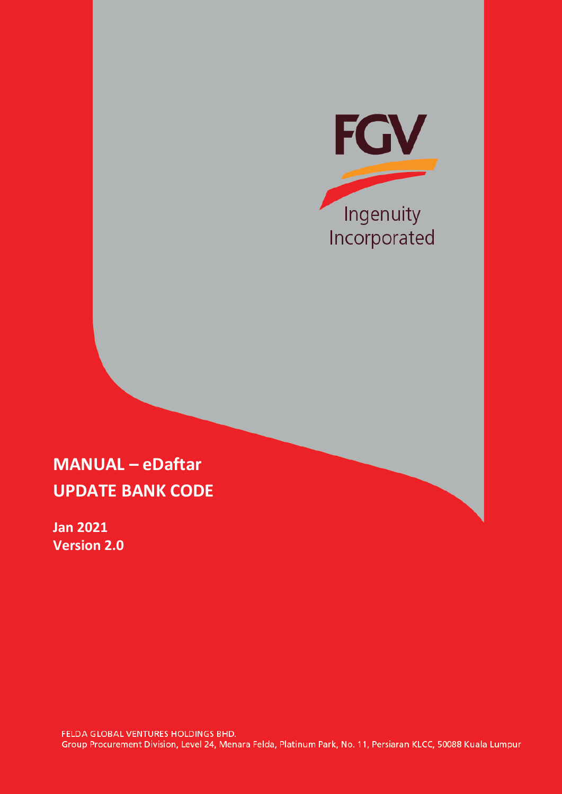

## **MANUAL – eDaftar UPDATE BANK CODE**

**Jan 2021 Version 2.0**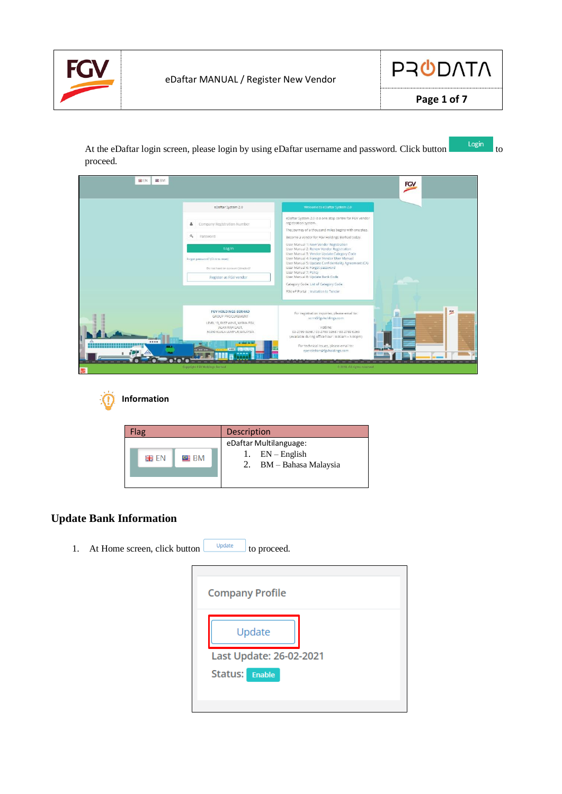



At the eDaftar login screen, please login by using eDaftar username and password. Click button proceed.

| <b>BB EN</b><br>BB BM                     |                                                                                                                                                                                                 |                                                                                                                                                                                                                                                                                                                                                                                                                                                                                                                                                                                                                                                   | FGV         |
|-------------------------------------------|-------------------------------------------------------------------------------------------------------------------------------------------------------------------------------------------------|---------------------------------------------------------------------------------------------------------------------------------------------------------------------------------------------------------------------------------------------------------------------------------------------------------------------------------------------------------------------------------------------------------------------------------------------------------------------------------------------------------------------------------------------------------------------------------------------------------------------------------------------------|-------------|
|                                           | eDaftar System 2.0<br>Company Registration Number<br>÷.<br>$a_{\rm e}$<br>Password<br>Log In<br>Forgot password? (Click to reset)<br>Do not have an account (Vendor)?<br>Register as FGV vendor | Welcome to eDaftar System 2.0<br>eDaftar System 2.0 is a one stop centre for FGV vendor<br>registration system.<br>The journey of a thousand miles begins with one step.<br>Become a vendor for FGV Holdings Berhad today.<br>User Manual 1: New Vendor Registration<br>User Manual 2: Renew Vendor Registration<br>User Manual 3: Vendor Update Category Code<br>User Manual 4: Foreign Vendor User Manual<br>User Manual 5: Update Confidentiality Agreement (CA)<br>User Manual 6: Forgot password<br>User Manual 7: Policy<br>User Manual 8: Update Bank Code<br>Category Code: List of Category Code<br>FGV eP Portal : Invitation to Tender |             |
| <br><b><i><u>RICA</u></i></b><br><b>A</b> | <b>FGV HOLDINGS BERHAD</b><br><b>GROUP PROCUREMENT</b><br>LEVEL 13, EAST WING, WISMA FGV.<br>JALAN RAJA LAUT,<br>50350 KUALA LUMPUR MALAYSIA<br>Copyright FGV Holdings Berhad                   | For registration inquiries, please email to:<br>scrm@fgvholdings.com<br>Hotline:<br>03-2789 0258 / 03-2789 0268 / 03-2789 0269<br>(Available during office hour: 9.00am - 5.00pm)<br>For technical issues, please email to:<br>eperolehan@fgvholdings.com<br>© 2018. All rights reserved                                                                                                                                                                                                                                                                                                                                                          | $rac{1}{2}$ |



| -lag             | <b>Description</b>                                                   |
|------------------|----------------------------------------------------------------------|
| to≣ BM<br>ete en | eDaftar Multilanguage:<br>1. $EN-English$<br>2. BM - Bahasa Malaysia |

## **Update Bank Information**

1. At Home screen, click button  $\Box$   $\Box$  to proceed.

| Update                  | <b>Company Profile</b> |  |  |
|-------------------------|------------------------|--|--|
|                         |                        |  |  |
| Last Update: 26-02-2021 |                        |  |  |
| Status: Enable          |                        |  |  |
|                         |                        |  |  |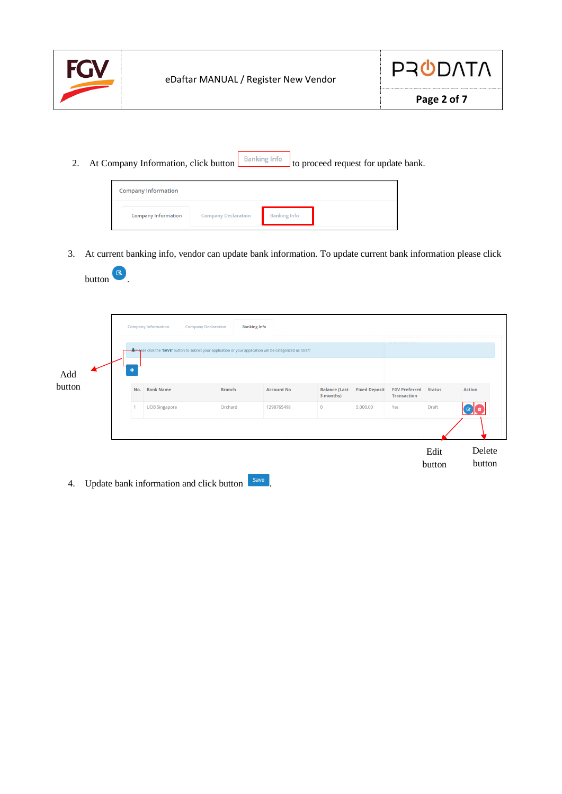

button **6** 



2. At Company Information, click button **Banking Info** to proceed request for update bank.



3. At current banking info, vendor can update bank information. To update current bank information please click



4. Update bank information and click button  $\sqrt{\frac{5 \text{ave}}{n}}$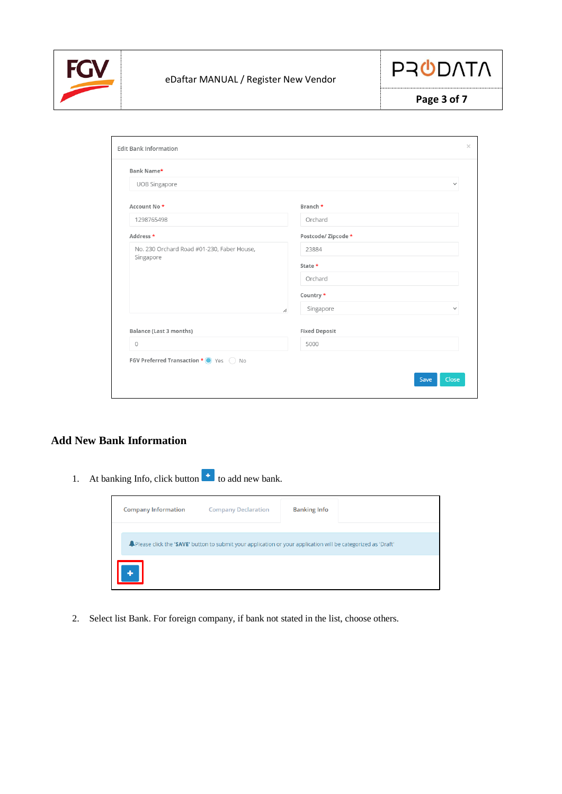



| Bank Name*                                 |                                |
|--------------------------------------------|--------------------------------|
| UOB Singapore                              | $\checkmark$                   |
| Account No <sup>*</sup>                    | Branch *                       |
| 1298765498                                 | Orchard                        |
| Address *                                  | Postcode/Zipcode*              |
| No. 230 Orchard Road #01-230, Faber House, | 23884                          |
| Singapore                                  | State *                        |
|                                            | Orchard                        |
|                                            | Country *                      |
|                                            | Singapore<br>$\checkmark$<br>h |
| <b>Balance (Last 3 months)</b>             | <b>Fixed Deposit</b>           |
| $\circ$                                    | 5000                           |
| FGV Preferred Transaction * • Yes   No     |                                |

## **Add New Bank Information**

1. At banking Info, click button  $\begin{bmatrix} + \\ 1 \end{bmatrix}$  to add new bank.



2. Select list Bank. For foreign company, if bank not stated in the list, choose others.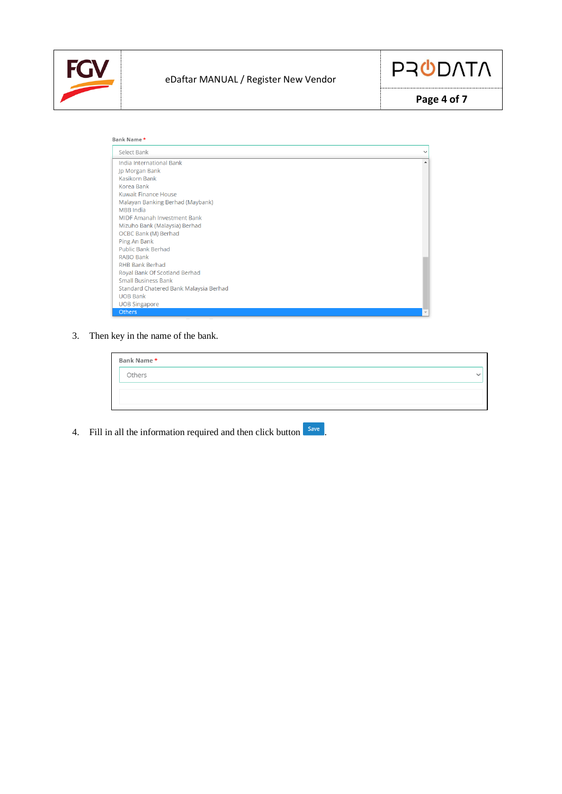



**Page 4 of 7**

| Bank Name*                             |  |
|----------------------------------------|--|
| Select Bank                            |  |
| India International Bank               |  |
| Jp Morgan Bank                         |  |
| Kasikorn Bank                          |  |
| Korea Bank                             |  |
| Kuwait Finance House                   |  |
| Malayan Banking Berhad (Maybank)       |  |
| <b>MBB</b> India                       |  |
| <b>MIDF Amanah Investment Bank</b>     |  |
| Mizuho Bank (Malaysia) Berhad          |  |
| OCBC Bank (M) Berhad                   |  |
| Ping An Bank                           |  |
| <b>Public Bank Berhad</b>              |  |
| RABO Bank                              |  |
| <b>RHB Bank Berhad</b>                 |  |
| Royal Bank Of Scotland Berhad          |  |
| <b>Small Business Bank</b>             |  |
| Standard Chatered Bank Malaysia Berhad |  |
| <b>UOB Bank</b>                        |  |
| <b>UOB Singapore</b>                   |  |
| Others                                 |  |

3. Then key in the name of the bank.

| Bank Name * |  |
|-------------|--|
| Others      |  |
|             |  |
|             |  |

4. Fill in all the information required and then click button save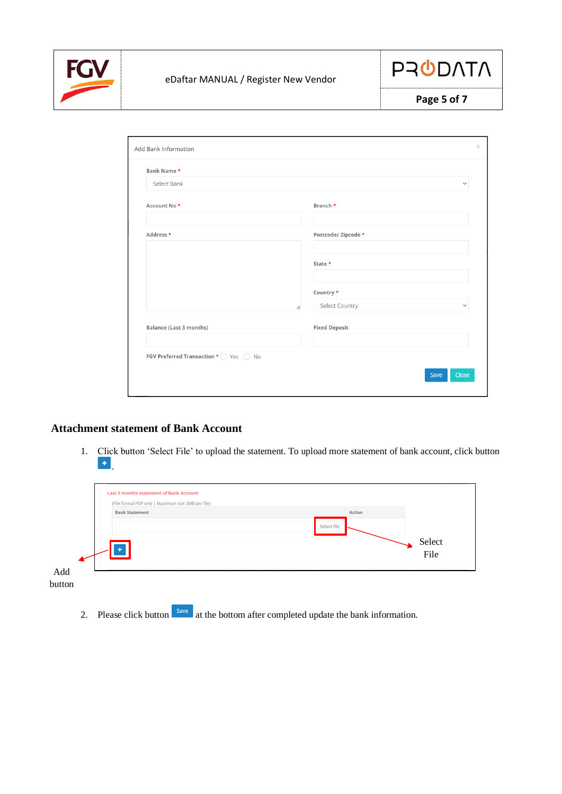



| Page 5 of 7 |  |
|-------------|--|
|-------------|--|

| Bank Name*                                                                 |                                |
|----------------------------------------------------------------------------|--------------------------------|
| Select Bank                                                                | $\checkmark$                   |
| Account No <sup>*</sup>                                                    | Branch *                       |
|                                                                            |                                |
| Address *                                                                  | Postcode/Zipcode*              |
|                                                                            |                                |
|                                                                            | State *                        |
|                                                                            |                                |
|                                                                            | Country *                      |
| h                                                                          | Select Country<br>$\checkmark$ |
| <b>Balance (Last 3 months)</b>                                             | <b>Fixed Deposit</b>           |
|                                                                            |                                |
| <b>FGV Preferred Transaction * <math>\bigcirc</math></b> Yes $\bigcirc$ No |                                |

## **Attachment statement of Bank Account**

1. Click button 'Select File' to upload the statement. To upload more statement of bank account, click button  $\left\vert \frac{1}{2} \right\vert$ 

|               | Last 3 months statement of Bank Account<br>(File format PDF only   Maximum size 2MB per file) |               |                |
|---------------|-----------------------------------------------------------------------------------------------|---------------|----------------|
|               | <b>Bank Statement</b>                                                                         | <b>Action</b> |                |
|               |                                                                                               | Select file   |                |
|               |                                                                                               |               | Select<br>File |
|               |                                                                                               |               |                |
| Add<br>button |                                                                                               |               |                |

2. Please click button  $\begin{bmatrix} \frac{Save}{\ } \\ \frac{1}{2} \\ \frac{1}{2} \\ \frac{1}{2} \\ \frac{1}{2} \\ \frac{1}{2} \\ \frac{1}{2} \\ \frac{1}{2} \\ \frac{1}{2} \\ \frac{1}{2} \\ \frac{1}{2} \\ \frac{1}{2} \\ \frac{1}{2} \\ \frac{1}{2} \\ \frac{1}{2} \\ \frac{1}{2} \\ \frac{1}{2} \\ \frac{1}{2} \\ \frac{1}{2} \\ \frac{1}{2} \\ \frac{1}{2} \\ \frac{1}{2} \\ \frac{1}{2} \\ \frac{1}{2$